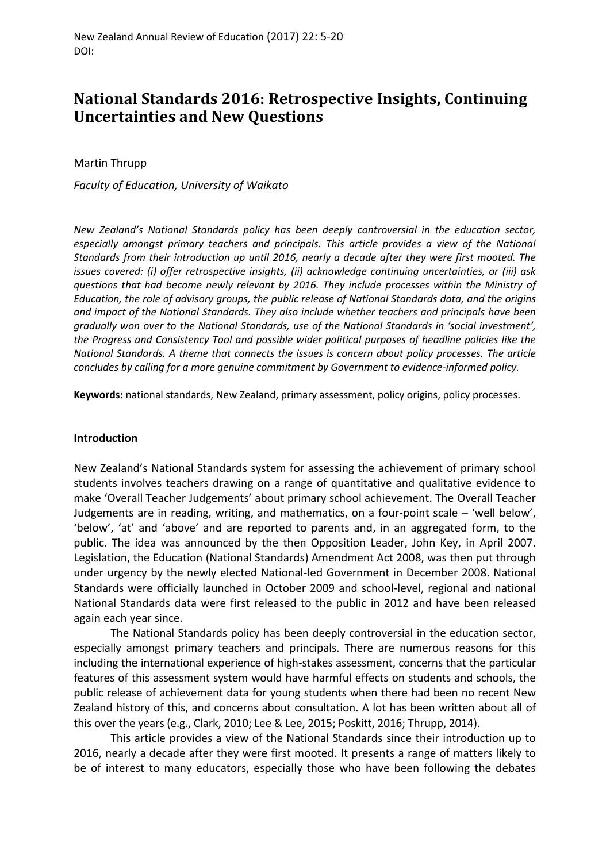# **National Standards 2016: Retrospective Insights, Continuing Uncertainties and New Questions**

Martin Thrupp

*Faculty of Education, University of Waikato*

*New Zealand's National Standards policy has been deeply controversial in the education sector, especially amongst primary teachers and principals. This article provides a view of the National Standards from their introduction up until 2016, nearly a decade after they were first mooted. The issues covered: (i) offer retrospective insights, (ii) acknowledge continuing uncertainties, or (iii) ask questions that had become newly relevant by 2016. They include processes within the Ministry of Education, the role of advisory groups, the public release of National Standards data, and the origins and impact of the National Standards. They also include whether teachers and principals have been gradually won over to the National Standards, use of the National Standards in 'social investment', the Progress and Consistency Tool and possible wider political purposes of headline policies like the National Standards. A theme that connects the issues is concern about policy processes. The article concludes by calling for a more genuine commitment by Government to evidence-informed policy.*

**Keywords:** national standards, New Zealand, primary assessment, policy origins, policy processes.

## **Introduction**

New Zealand's National Standards system for assessing the achievement of primary school students involves teachers drawing on a range of quantitative and qualitative evidence to make 'Overall Teacher Judgements' about primary school achievement. The Overall Teacher Judgements are in reading, writing, and mathematics, on a four-point scale – 'well below', 'below', 'at' and 'above' and are reported to parents and, in an aggregated form, to the public. The idea was announced by the then Opposition Leader, John Key, in April 2007. Legislation, the Education (National Standards) Amendment Act 2008, was then put through under urgency by the newly elected National-led Government in December 2008. National Standards were officially launched in October 2009 and school-level, regional and national National Standards data were first released to the public in 2012 and have been released again each year since.

The National Standards policy has been deeply controversial in the education sector, especially amongst primary teachers and principals. There are numerous reasons for this including the international experience of high-stakes assessment, concerns that the particular features of this assessment system would have harmful effects on students and schools, the public release of achievement data for young students when there had been no recent New Zealand history of this, and concerns about consultation. A lot has been written about all of this over the years (e.g., Clark, 2010; Lee & Lee, 2015; Poskitt, 2016; Thrupp, 2014).

This article provides a view of the National Standards since their introduction up to 2016, nearly a decade after they were first mooted. It presents a range of matters likely to be of interest to many educators, especially those who have been following the debates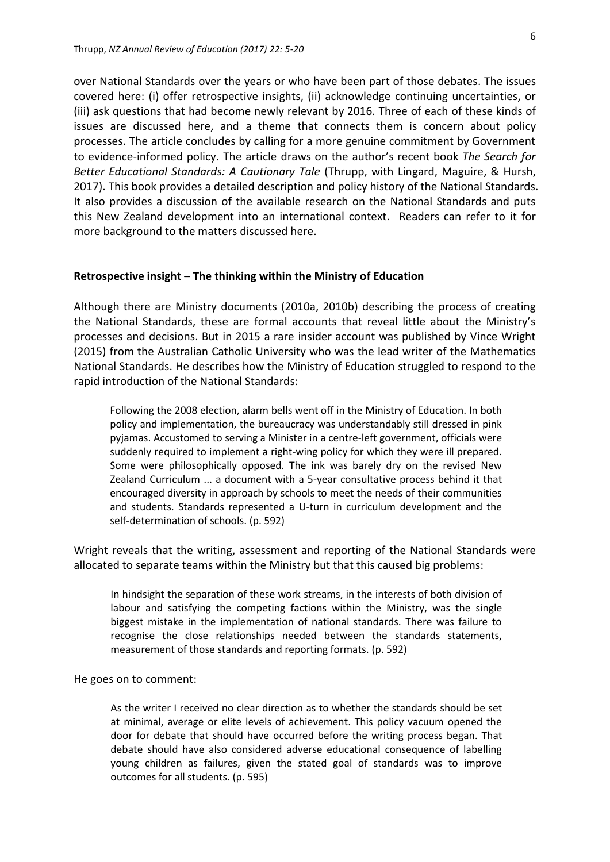over National Standards over the years or who have been part of those debates. The issues covered here: (i) offer retrospective insights, (ii) acknowledge continuing uncertainties, or (iii) ask questions that had become newly relevant by 2016. Three of each of these kinds of issues are discussed here, and a theme that connects them is concern about policy processes. The article concludes by calling for a more genuine commitment by Government to evidence-informed policy. The article draws on the author's recent book *The Search for Better Educational Standards: A Cautionary Tale* (Thrupp, with Lingard, Maguire, & Hursh, 2017). This book provides a detailed description and policy history of the National Standards. It also provides a discussion of the available research on the National Standards and puts this New Zealand development into an international context. Readers can refer to it for more background to the matters discussed here.

#### **Retrospective insight – The thinking within the Ministry of Education**

Although there are Ministry documents (2010a, 2010b) describing the process of creating the National Standards, these are formal accounts that reveal little about the Ministry's processes and decisions. But in 2015 a rare insider account was published by Vince Wright (2015) from the Australian Catholic University who was the lead writer of the Mathematics National Standards. He describes how the Ministry of Education struggled to respond to the rapid introduction of the National Standards:

Following the 2008 election, alarm bells went off in the Ministry of Education. In both policy and implementation, the bureaucracy was understandably still dressed in pink pyjamas. Accustomed to serving a Minister in a centre-left government, officials were suddenly required to implement a right-wing policy for which they were ill prepared. Some were philosophically opposed. The ink was barely dry on the revised New Zealand Curriculum ... a document with a 5-year consultative process behind it that encouraged diversity in approach by schools to meet the needs of their communities and students. Standards represented a U-turn in curriculum development and the self-determination of schools. (p. 592)

Wright reveals that the writing, assessment and reporting of the National Standards were allocated to separate teams within the Ministry but that this caused big problems:

In hindsight the separation of these work streams, in the interests of both division of labour and satisfying the competing factions within the Ministry, was the single biggest mistake in the implementation of national standards. There was failure to recognise the close relationships needed between the standards statements, measurement of those standards and reporting formats. (p. 592)

He goes on to comment:

As the writer I received no clear direction as to whether the standards should be set at minimal, average or elite levels of achievement. This policy vacuum opened the door for debate that should have occurred before the writing process began. That debate should have also considered adverse educational consequence of labelling young children as failures, given the stated goal of standards was to improve outcomes for all students. (p. 595)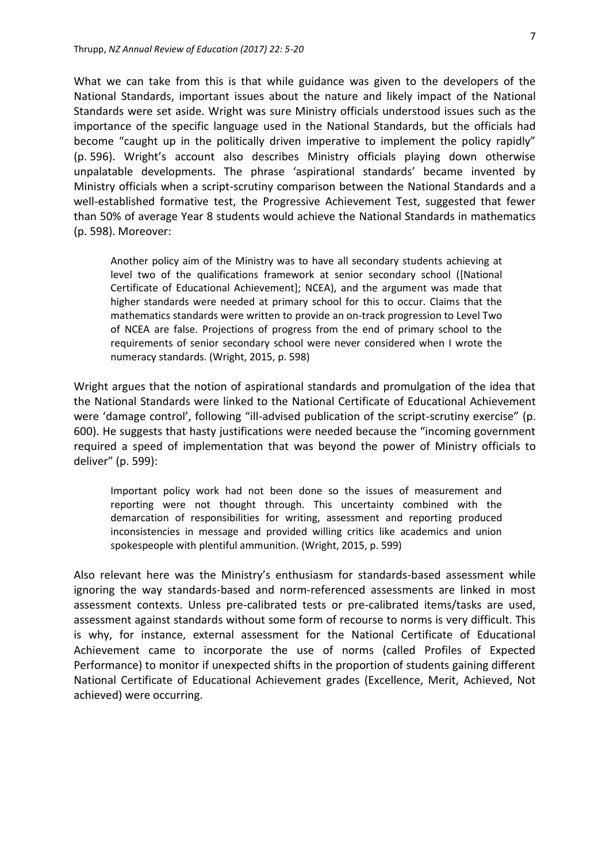What we can take from this is that while guidance was given to the developers of the National Standards, important issues about the nature and likely impact of the National Standards were set aside. Wright was sure Ministry officials understood issues such as the importance of the specific language used in the National Standards, but the officials had become "caught up in the politically driven imperative to implement the policy rapidly" (p. 596). Wright's account also describes Ministry officials playing down otherwise unpalatable developments. The phrase 'aspirational standards' became invented by Ministry officials when a script-scrutiny comparison between the National Standards and a well-established formative test, the Progressive Achievement Test, suggested that fewer than 50% of average Year 8 students would achieve the National Standards in mathematics (p. 598). Moreover:

Another policy aim of the Ministry was to have all secondary students achieving at level two of the qualifications framework at senior secondary school ([National Certificate of Educational Achievement]; NCEA), and the argument was made that higher standards were needed at primary school for this to occur. Claims that the mathematics standards were written to provide an on-track progression to Level Two of NCEA are false. Projections of progress from the end of primary school to the requirements of senior secondary school were never considered when I wrote the numeracy standards. (Wright, 2015, p. 598)

Wright argues that the notion of aspirational standards and promulgation of the idea that the National Standards were linked to the National Certificate of Educational Achievement were 'damage control', following "ill-advised publication of the script-scrutiny exercise" (p. 600). He suggests that hasty justifications were needed because the "incoming government required a speed of implementation that was beyond the power of Ministry officials to deliver" (p. 599):

Important policy work had not been done so the issues of measurement and reporting were not thought through. This uncertainty combined with the demarcation of responsibilities for writing, assessment and reporting produced inconsistencies in message and provided willing critics like academics and union spokespeople with plentiful ammunition. (Wright, 2015, p. 599)

Also relevant here was the Ministry's enthusiasm for standards-based assessment while ignoring the way standards-based and norm-referenced assessments are linked in most assessment contexts. Unless pre-calibrated tests or pre-calibrated items/tasks are used, assessment against standards without some form of recourse to norms is very difficult. This is why, for instance, external assessment for the National Certificate of Educational Achievement came to incorporate the use of norms (called Profiles of Expected Performance) to monitor if unexpected shifts in the proportion of students gaining different National Certificate of Educational Achievement grades (Excellence, Merit, Achieved, Not achieved) were occurring.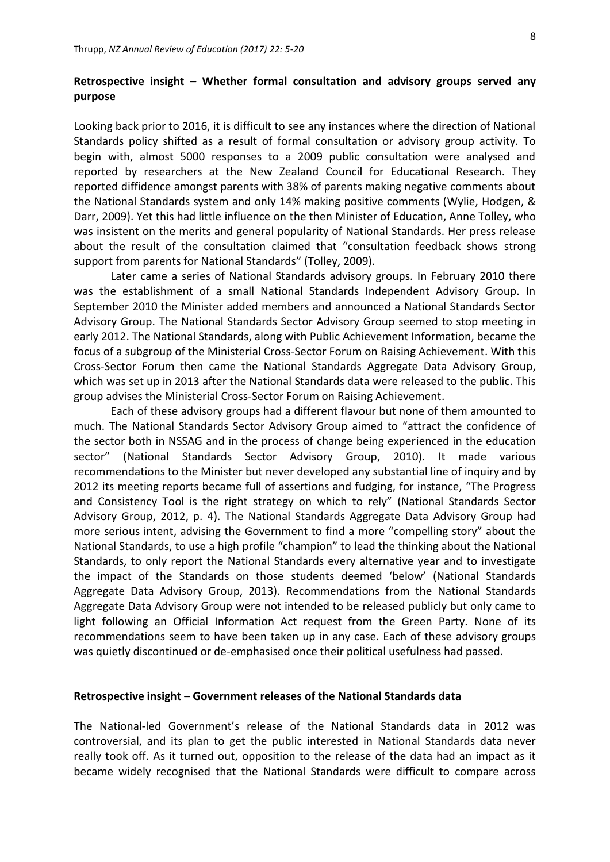# **Retrospective insight – Whether formal consultation and advisory groups served any purpose**

Looking back prior to 2016, it is difficult to see any instances where the direction of National Standards policy shifted as a result of formal consultation or advisory group activity. To begin with, almost 5000 responses to a 2009 public consultation were analysed and reported by researchers at the New Zealand Council for Educational Research. They reported diffidence amongst parents with 38% of parents making negative comments about the National Standards system and only 14% making positive comments (Wylie, Hodgen, & Darr, 2009). Yet this had little influence on the then Minister of Education, Anne Tolley, who was insistent on the merits and general popularity of National Standards. Her press release about the result of the consultation claimed that "consultation feedback shows strong support from parents for National Standards" (Tolley, 2009).

Later came a series of National Standards advisory groups. In February 2010 there was the establishment of a small National Standards Independent Advisory Group. In September 2010 the Minister added members and announced a National Standards Sector Advisory Group. The National Standards Sector Advisory Group seemed to stop meeting in early 2012. The National Standards, along with Public Achievement Information, became the focus of a subgroup of the Ministerial Cross-Sector Forum on Raising Achievement. With this Cross-Sector Forum then came the National Standards Aggregate Data Advisory Group, which was set up in 2013 after the National Standards data were released to the public. This group advises the Ministerial Cross-Sector Forum on Raising Achievement.

Each of these advisory groups had a different flavour but none of them amounted to much. The National Standards Sector Advisory Group aimed to "attract the confidence of the sector both in NSSAG and in the process of change being experienced in the education sector" (National Standards Sector Advisory Group, 2010). It made various recommendations to the Minister but never developed any substantial line of inquiry and by 2012 its meeting reports became full of assertions and fudging, for instance, "The Progress and Consistency Tool is the right strategy on which to rely" (National Standards Sector Advisory Group, 2012, p. 4). The National Standards Aggregate Data Advisory Group had more serious intent, advising the Government to find a more "compelling story" about the National Standards, to use a high profile "champion" to lead the thinking about the National Standards, to only report the National Standards every alternative year and to investigate the impact of the Standards on those students deemed 'below' (National Standards Aggregate Data Advisory Group, 2013). Recommendations from the National Standards Aggregate Data Advisory Group were not intended to be released publicly but only came to light following an Official Information Act request from the Green Party. None of its recommendations seem to have been taken up in any case. Each of these advisory groups was quietly discontinued or de-emphasised once their political usefulness had passed.

#### **Retrospective insight – Government releases of the National Standards data**

The National-led Government's release of the National Standards data in 2012 was controversial, and its plan to get the public interested in National Standards data never really took off. As it turned out, opposition to the release of the data had an impact as it became widely recognised that the National Standards were difficult to compare across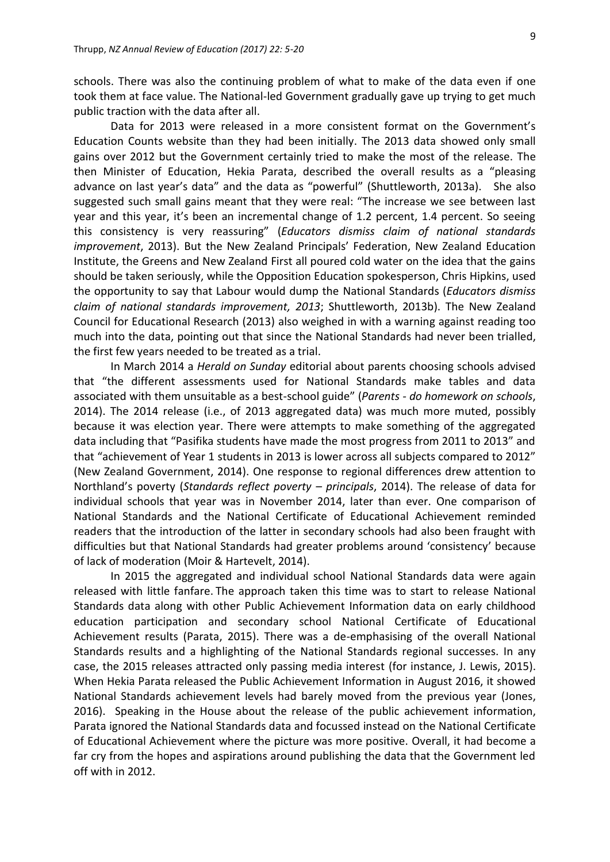schools. There was also the continuing problem of what to make of the data even if one took them at face value. The National-led Government gradually gave up trying to get much public traction with the data after all.

Data for 2013 were released in a more consistent format on the Government's Education Counts website than they had been initially. The 2013 data showed only small gains over 2012 but the Government certainly tried to make the most of the release. The then Minister of Education, Hekia Parata, described the overall results as a "pleasing advance on last year's data" and the data as "powerful" (Shuttleworth, 2013a). She also suggested such small gains meant that they were real: "The increase we see between last year and this year, it's been an incremental change of 1.2 percent, 1.4 percent. So seeing this consistency is very reassuring" (*Educators dismiss claim of national standards improvement*, 2013). But the New Zealand Principals' Federation, New Zealand Education Institute, the Greens and New Zealand First all poured cold water on the idea that the gains should be taken seriously, while the Opposition Education spokesperson, Chris Hipkins, used the opportunity to say that Labour would dump the National Standards (*Educators dismiss claim of national standards improvement, 2013*; Shuttleworth, 2013b). The New Zealand Council for Educational Research (2013) also weighed in with a warning against reading too much into the data, pointing out that since the National Standards had never been trialled, the first few years needed to be treated as a trial.

In March 2014 a *Herald on Sunday* editorial about parents choosing schools advised that "the different assessments used for National Standards make tables and data associated with them unsuitable as a best-school guide" (*Parents - do homework on schools*, 2014). The 2014 release (i.e., of 2013 aggregated data) was much more muted, possibly because it was election year. There were attempts to make something of the aggregated data including that "Pasifika students have made the most progress from 2011 to 2013" and that "achievement of Year 1 students in 2013 is lower across all subjects compared to 2012" (New Zealand Government, 2014). One response to regional differences drew attention to Northland's poverty (*Standards reflect poverty – principals*, 2014). The release of data for individual schools that year was in November 2014, later than ever. One comparison of National Standards and the National Certificate of Educational Achievement reminded readers that the introduction of the latter in secondary schools had also been fraught with difficulties but that National Standards had greater problems around 'consistency' because of lack of moderation (Moir & Hartevelt, 2014).

In 2015 the aggregated and individual school National Standards data were again released with little fanfare. The approach taken this time was to start to release National Standards data along with other Public Achievement Information data on early childhood education participation and secondary school National Certificate of Educational Achievement results (Parata, 2015). There was a de-emphasising of the overall National Standards results and a highlighting of the National Standards regional successes. In any case, the 2015 releases attracted only passing media interest (for instance, J. Lewis, 2015). When Hekia Parata released the Public Achievement Information in August 2016, it showed National Standards achievement levels had barely moved from the previous year (Jones, 2016). Speaking in the House about the release of the public achievement information, Parata ignored the National Standards data and focussed instead on the National Certificate of Educational Achievement where the picture was more positive. Overall, it had become a far cry from the hopes and aspirations around publishing the data that the Government led off with in 2012.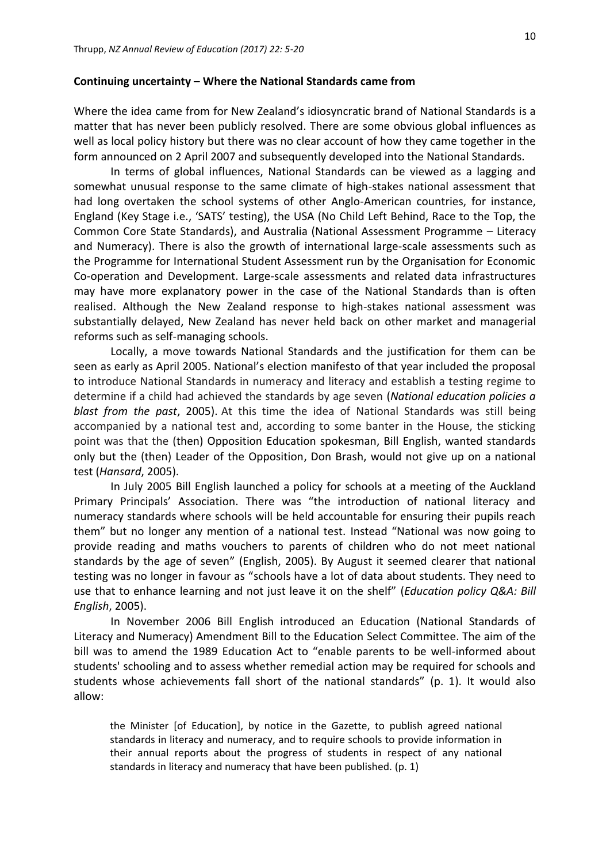#### **Continuing uncertainty – Where the National Standards came from**

Where the idea came from for New Zealand's idiosyncratic brand of National Standards is a matter that has never been publicly resolved. There are some obvious global influences as well as local policy history but there was no clear account of how they came together in the form announced on 2 April 2007 and subsequently developed into the National Standards.

In terms of global influences, National Standards can be viewed as a lagging and somewhat unusual response to the same climate of high-stakes national assessment that had long overtaken the school systems of other Anglo-American countries, for instance, England (Key Stage i.e., 'SATS' testing), the USA (No Child Left Behind, Race to the Top, the Common Core State Standards), and Australia (National Assessment Programme – Literacy and Numeracy). There is also the growth of international large-scale assessments such as the Programme for International Student Assessment run by the Organisation for Economic Co-operation and Development. Large-scale assessments and related data infrastructures may have more explanatory power in the case of the National Standards than is often realised. Although the New Zealand response to high-stakes national assessment was substantially delayed, New Zealand has never held back on other market and managerial reforms such as self-managing schools.

Locally, a move towards National Standards and the justification for them can be seen as early as April 2005. National's election manifesto of that year included the proposal to introduce National Standards in numeracy and literacy and establish a testing regime to determine if a child had achieved the standards by age seven (*National education policies a blast from the past*, 2005). At this time the idea of National Standards was still being accompanied by a national test and, according to some banter in the House, the sticking point was that the (then) Opposition Education spokesman, Bill English, wanted standards only but the (then) Leader of the Opposition, Don Brash, would not give up on a national test (*Hansard*, 2005).

In July 2005 Bill English launched a policy for schools at a meeting of the Auckland Primary Principals' Association. There was "the introduction of national literacy and numeracy standards where schools will be held accountable for ensuring their pupils reach them" but no longer any mention of a national test. Instead "National was now going to provide reading and maths vouchers to parents of children who do not meet national standards by the age of seven" (English, 2005). By August it seemed clearer that national testing was no longer in favour as "schools have a lot of data about students. They need to use that to enhance learning and not just leave it on the shelf" (*Education policy Q&A: Bill English*, 2005).

In November 2006 Bill English introduced an Education (National Standards of Literacy and Numeracy) Amendment Bill to the Education Select Committee. The aim of the bill was to amend the 1989 Education Act to "enable parents to be well-informed about students' schooling and to assess whether remedial action may be required for schools and students whose achievements fall short of the national standards" (p. 1). It would also allow:

the Minister [of Education], by notice in the Gazette, to publish agreed national standards in literacy and numeracy, and to require schools to provide information in their annual reports about the progress of students in respect of any national standards in literacy and numeracy that have been published. (p. 1)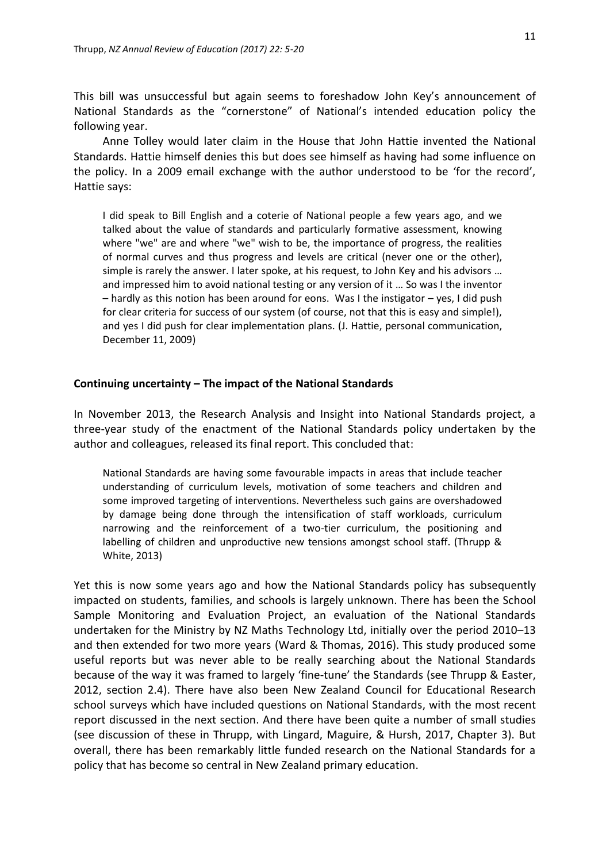This bill was unsuccessful but again seems to foreshadow John Key's announcement of National Standards as the "cornerstone" of National's intended education policy the following year.

Anne Tolley would later claim in the House that John Hattie invented the National Standards. Hattie himself denies this but does see himself as having had some influence on the policy. In a 2009 email exchange with the author understood to be 'for the record', Hattie says:

I did speak to Bill English and a coterie of National people a few years ago, and we talked about the value of standards and particularly formative assessment, knowing where "we" are and where "we" wish to be, the importance of progress, the realities of normal curves and thus progress and levels are critical (never one or the other), simple is rarely the answer. I later spoke, at his request, to John Key and his advisors … and impressed him to avoid national testing or any version of it … So was I the inventor – hardly as this notion has been around for eons. Was I the instigator – yes, I did push for clear criteria for success of our system (of course, not that this is easy and simple!), and yes I did push for clear implementation plans. (J. Hattie, personal communication, December 11, 2009)

#### **Continuing uncertainty – The impact of the National Standards**

In November 2013, the Research Analysis and Insight into National Standards project, a three-year study of the enactment of the National Standards policy undertaken by the author and colleagues, released its final report. This concluded that:

National Standards are having some favourable impacts in areas that include teacher understanding of curriculum levels, motivation of some teachers and children and some improved targeting of interventions. Nevertheless such gains are overshadowed by damage being done through the intensification of staff workloads, curriculum narrowing and the reinforcement of a two-tier curriculum, the positioning and labelling of children and unproductive new tensions amongst school staff. (Thrupp & White, 2013)

Yet this is now some years ago and how the National Standards policy has subsequently impacted on students, families, and schools is largely unknown. There has been the School Sample Monitoring and Evaluation Project, an evaluation of the National Standards undertaken for the Ministry by NZ Maths Technology Ltd, initially over the period 2010–13 and then extended for two more years (Ward & Thomas, 2016). This study produced some useful reports but was never able to be really searching about the National Standards because of the way it was framed to largely 'fine-tune' the Standards (see Thrupp & Easter, 2012, section 2.4). There have also been New Zealand Council for Educational Research school surveys which have included questions on National Standards, with the most recent report discussed in the next section. And there have been quite a number of small studies (see discussion of these in Thrupp, with Lingard, Maguire, & Hursh, 2017, Chapter 3). But overall, there has been remarkably little funded research on the National Standards for a policy that has become so central in New Zealand primary education.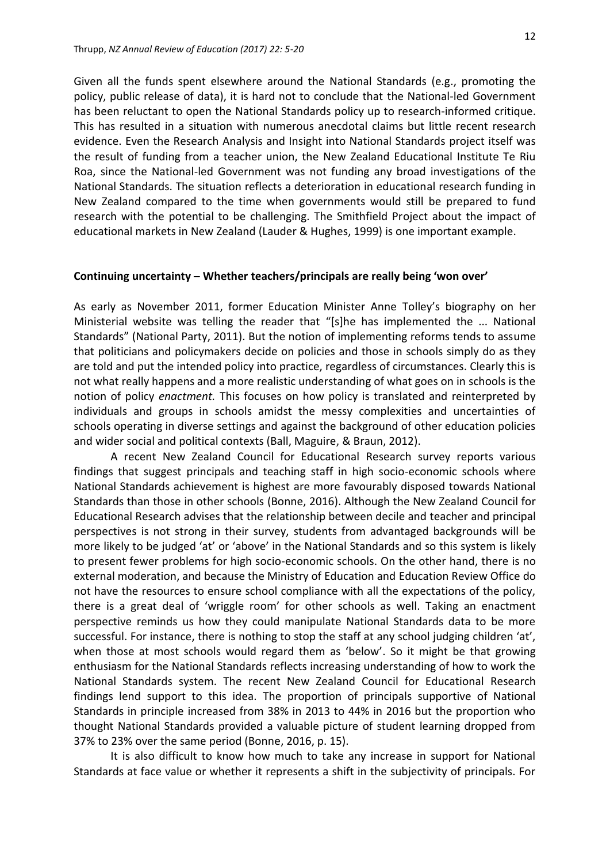Given all the funds spent elsewhere around the National Standards (e.g., promoting the policy, public release of data), it is hard not to conclude that the National-led Government has been reluctant to open the National Standards policy up to research-informed critique. This has resulted in a situation with numerous anecdotal claims but little recent research evidence. Even the Research Analysis and Insight into National Standards project itself was the result of funding from a teacher union, the New Zealand Educational Institute Te Riu Roa, since the National-led Government was not funding any broad investigations of the National Standards. The situation reflects a deterioration in educational research funding in New Zealand compared to the time when governments would still be prepared to fund research with the potential to be challenging. The Smithfield Project about the impact of educational markets in New Zealand (Lauder & Hughes, 1999) is one important example.

## **Continuing uncertainty – Whether teachers/principals are really being 'won over'**

As early as November 2011, former Education Minister Anne Tolley's biography on her Ministerial website was telling the reader that "[s]he has implemented the ... National Standards" (National Party, 2011). But the notion of implementing reforms tends to assume that politicians and policymakers decide on policies and those in schools simply do as they are told and put the intended policy into practice, regardless of circumstances. Clearly this is not what really happens and a more realistic understanding of what goes on in schools is the notion of policy *enactment.* This focuses on how policy is translated and reinterpreted by individuals and groups in schools amidst the messy complexities and uncertainties of schools operating in diverse settings and against the background of other education policies and wider social and political contexts (Ball, Maguire, & Braun, 2012).

A recent New Zealand Council for Educational Research survey reports various findings that suggest principals and teaching staff in high socio-economic schools where National Standards achievement is highest are more favourably disposed towards National Standards than those in other schools (Bonne, 2016). Although the New Zealand Council for Educational Research advises that the relationship between decile and teacher and principal perspectives is not strong in their survey, students from advantaged backgrounds will be more likely to be judged 'at' or 'above' in the National Standards and so this system is likely to present fewer problems for high socio-economic schools. On the other hand, there is no external moderation, and because the Ministry of Education and Education Review Office do not have the resources to ensure school compliance with all the expectations of the policy, there is a great deal of 'wriggle room' for other schools as well. Taking an enactment perspective reminds us how they could manipulate National Standards data to be more successful. For instance, there is nothing to stop the staff at any school judging children 'at', when those at most schools would regard them as 'below'. So it might be that growing enthusiasm for the National Standards reflects increasing understanding of how to work the National Standards system. The recent New Zealand Council for Educational Research findings lend support to this idea. The proportion of principals supportive of National Standards in principle increased from 38% in 2013 to 44% in 2016 but the proportion who thought National Standards provided a valuable picture of student learning dropped from 37% to 23% over the same period (Bonne, 2016, p. 15).

It is also difficult to know how much to take any increase in support for National Standards at face value or whether it represents a shift in the subjectivity of principals. For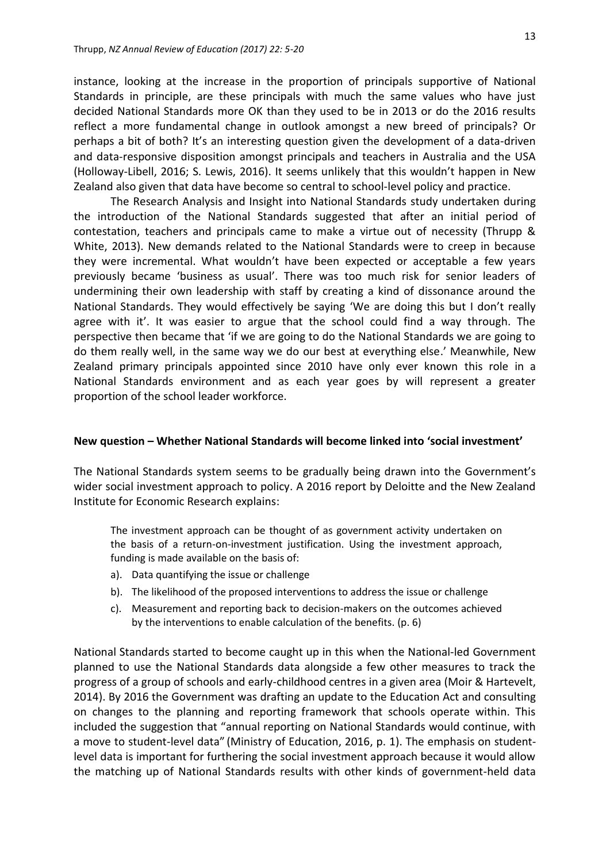instance, looking at the increase in the proportion of principals supportive of National Standards in principle, are these principals with much the same values who have just decided National Standards more OK than they used to be in 2013 or do the 2016 results reflect a more fundamental change in outlook amongst a new breed of principals? Or perhaps a bit of both? It's an interesting question given the development of a data-driven and data-responsive disposition amongst principals and teachers in Australia and the USA (Holloway-Libell, 2016; S. Lewis, 2016). It seems unlikely that this wouldn't happen in New Zealand also given that data have become so central to school-level policy and practice.

The Research Analysis and Insight into National Standards study undertaken during the introduction of the National Standards suggested that after an initial period of contestation, teachers and principals came to make a virtue out of necessity (Thrupp & White, 2013). New demands related to the National Standards were to creep in because they were incremental. What wouldn't have been expected or acceptable a few years previously became 'business as usual'. There was too much risk for senior leaders of undermining their own leadership with staff by creating a kind of dissonance around the National Standards. They would effectively be saying 'We are doing this but I don't really agree with it'. It was easier to argue that the school could find a way through. The perspective then became that 'if we are going to do the National Standards we are going to do them really well, in the same way we do our best at everything else.' Meanwhile, New Zealand primary principals appointed since 2010 have only ever known this role in a National Standards environment and as each year goes by will represent a greater proportion of the school leader workforce.

#### **New question – Whether National Standards will become linked into 'social investment'**

The National Standards system seems to be gradually being drawn into the Government's wider social investment approach to policy. A 2016 report by Deloitte and the New Zealand Institute for Economic Research explains:

The investment approach can be thought of as government activity undertaken on the basis of a return-on-investment justification. Using the investment approach, funding is made available on the basis of:

- a). Data quantifying the issue or challenge
- b). The likelihood of the proposed interventions to address the issue or challenge
- c). Measurement and reporting back to decision-makers on the outcomes achieved by the interventions to enable calculation of the benefits. (p. 6)

National Standards started to become caught up in this when the National-led Government planned to use the National Standards data alongside a few other measures to track the progress of a group of schools and early-childhood centres in a given area (Moir & Hartevelt, 2014). By 2016 the Government was drafting an update to the Education Act and consulting on changes to the planning and reporting framework that schools operate within. This included the suggestion that "annual reporting on National Standards would continue, with a move to student-level data" (Ministry of Education, 2016, p. 1). The emphasis on studentlevel data is important for furthering the social investment approach because it would allow the matching up of National Standards results with other kinds of government-held data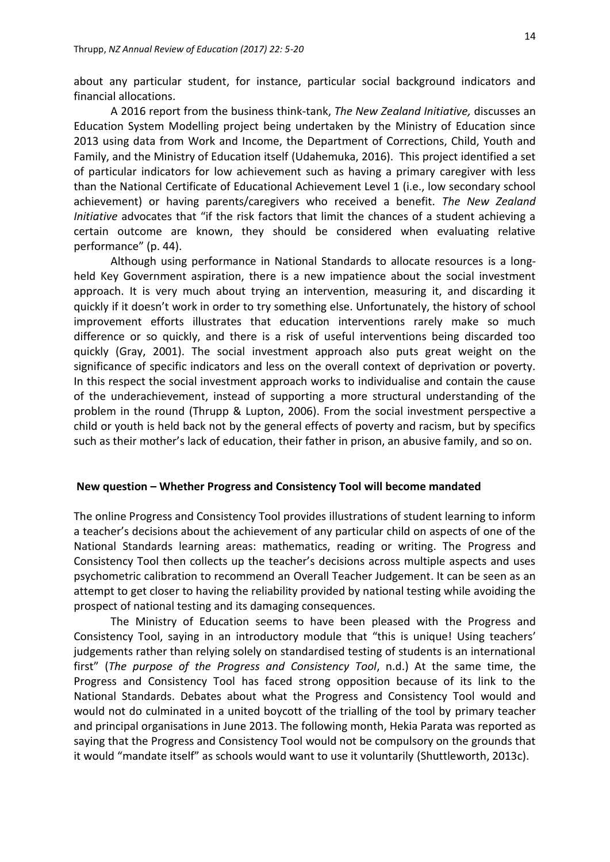about any particular student, for instance, particular social background indicators and financial allocations.

A 2016 report from the business think-tank, *The New Zealand Initiative,* discusses an Education System Modelling project being undertaken by the Ministry of Education since 2013 using data from Work and Income, the Department of Corrections, Child, Youth and Family, and the Ministry of Education itself (Udahemuka, 2016). This project identified a set of particular indicators for low achievement such as having a primary caregiver with less than the National Certificate of Educational Achievement Level 1 (i.e., low secondary school achievement) or having parents/caregivers who received a benefit. *The New Zealand Initiative* advocates that "if the risk factors that limit the chances of a student achieving a certain outcome are known, they should be considered when evaluating relative performance" (p. 44).

Although using performance in National Standards to allocate resources is a longheld Key Government aspiration, there is a new impatience about the social investment approach. It is very much about trying an intervention, measuring it, and discarding it quickly if it doesn't work in order to try something else. Unfortunately, the history of school improvement efforts illustrates that education interventions rarely make so much difference or so quickly, and there is a risk of useful interventions being discarded too quickly (Gray, 2001). The social investment approach also puts great weight on the significance of specific indicators and less on the overall context of deprivation or poverty. In this respect the social investment approach works to individualise and contain the cause of the underachievement, instead of supporting a more structural understanding of the problem in the round (Thrupp & Lupton, 2006). From the social investment perspective a child or youth is held back not by the general effects of poverty and racism, but by specifics such as their mother's lack of education, their father in prison, an abusive family, and so on.

#### **New question – Whether Progress and Consistency Tool will become mandated**

The online Progress and Consistency Tool provides illustrations of student learning to inform a teacher's decisions about the achievement of any particular child on aspects of one of the National Standards learning areas: mathematics, reading or writing. The Progress and Consistency Tool then collects up the teacher's decisions across multiple aspects and uses psychometric calibration to recommend an Overall Teacher Judgement. It can be seen as an attempt to get closer to having the reliability provided by national testing while avoiding the prospect of national testing and its damaging consequences.

The Ministry of Education seems to have been pleased with the Progress and Consistency Tool, saying in an introductory module that "this is unique! Using teachers' judgements rather than relying solely on standardised testing of students is an international first" (*The purpose of the Progress and Consistency Tool*, n.d.) At the same time, the Progress and Consistency Tool has faced strong opposition because of its link to the National Standards. Debates about what the Progress and Consistency Tool would and would not do culminated in a united boycott of the trialling of the tool by primary teacher and principal organisations in June 2013. The following month, Hekia Parata was reported as saying that the Progress and Consistency Tool would not be compulsory on the grounds that it would "mandate itself" as schools would want to use it voluntarily (Shuttleworth, 2013c).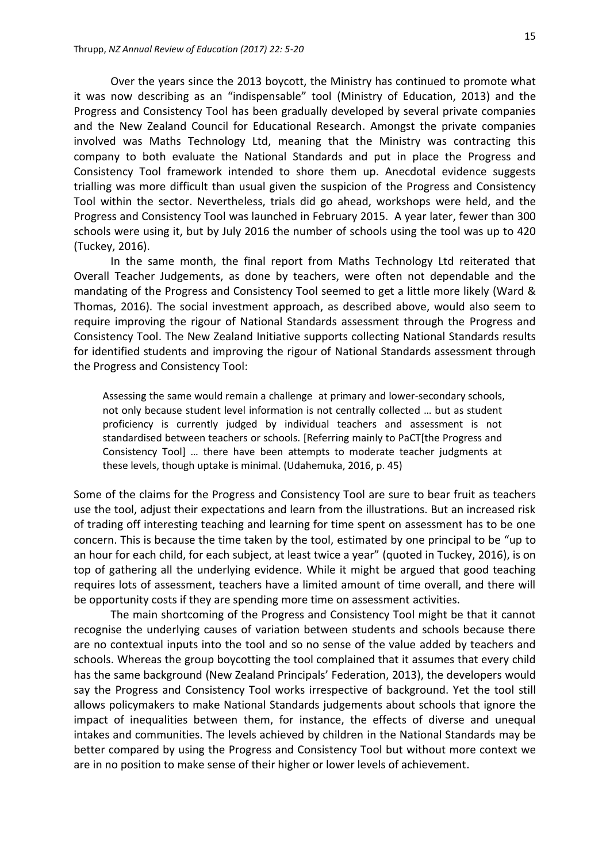Over the years since the 2013 boycott, the Ministry has continued to promote what it was now describing as an "indispensable" tool (Ministry of Education, 2013) and the Progress and Consistency Tool has been gradually developed by several private companies and the New Zealand Council for Educational Research. Amongst the private companies involved was Maths Technology Ltd, meaning that the Ministry was contracting this company to both evaluate the National Standards and put in place the Progress and Consistency Tool framework intended to shore them up. Anecdotal evidence suggests trialling was more difficult than usual given the suspicion of the Progress and Consistency Tool within the sector. Nevertheless, trials did go ahead, workshops were held, and the Progress and Consistency Tool was launched in February 2015. A year later, fewer than 300 schools were using it, but by July 2016 the number of schools using the tool was up to 420 (Tuckey, 2016).

In the same month, the final report from Maths Technology Ltd reiterated that Overall Teacher Judgements, as done by teachers, were often not dependable and the mandating of the Progress and Consistency Tool seemed to get a little more likely (Ward & Thomas, 2016). The social investment approach, as described above, would also seem to require improving the rigour of National Standards assessment through the Progress and Consistency Tool. The New Zealand Initiative supports collecting National Standards results for identified students and improving the rigour of National Standards assessment through the Progress and Consistency Tool:

Assessing the same would remain a challenge at primary and lower-secondary schools, not only because student level information is not centrally collected … but as student proficiency is currently judged by individual teachers and assessment is not standardised between teachers or schools. [Referring mainly to PaCT[the Progress and Consistency Tool] … there have been attempts to moderate teacher judgments at these levels, though uptake is minimal. (Udahemuka, 2016, p. 45)

Some of the claims for the Progress and Consistency Tool are sure to bear fruit as teachers use the tool, adjust their expectations and learn from the illustrations. But an increased risk of trading off interesting teaching and learning for time spent on assessment has to be one concern. This is because the time taken by the tool, estimated by one principal to be "up to an hour for each child, for each subject, at least twice a year" (quoted in Tuckey, 2016), is on top of gathering all the underlying evidence. While it might be argued that good teaching requires lots of assessment, teachers have a limited amount of time overall, and there will be opportunity costs if they are spending more time on assessment activities.

The main shortcoming of the Progress and Consistency Tool might be that it cannot recognise the underlying causes of variation between students and schools because there are no contextual inputs into the tool and so no sense of the value added by teachers and schools. Whereas the group boycotting the tool complained that it assumes that every child has the same background (New Zealand Principals' Federation, 2013), the developers would say the Progress and Consistency Tool works irrespective of background. Yet the tool still allows policymakers to make National Standards judgements about schools that ignore the impact of inequalities between them, for instance, the effects of diverse and unequal intakes and communities. The levels achieved by children in the National Standards may be better compared by using the Progress and Consistency Tool but without more context we are in no position to make sense of their higher or lower levels of achievement.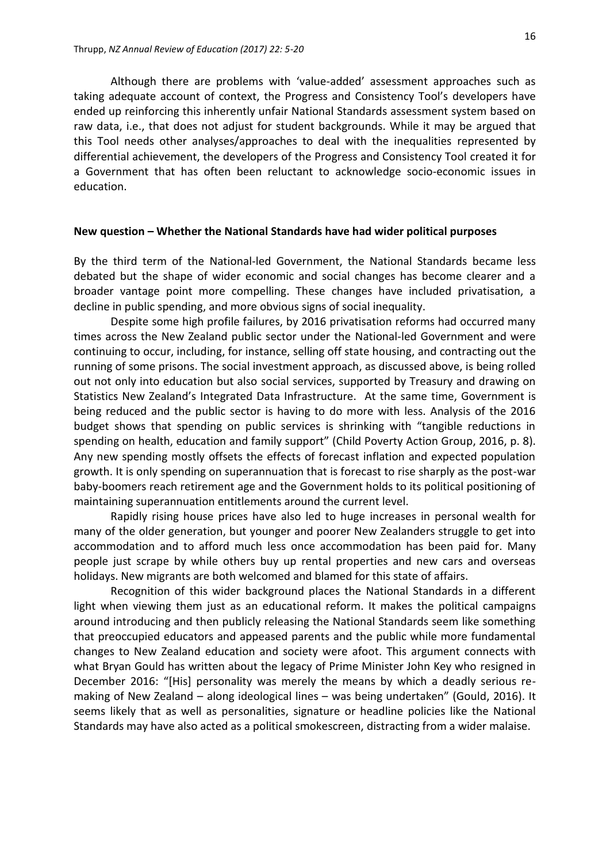Although there are problems with 'value-added' assessment approaches such as taking adequate account of context, the Progress and Consistency Tool's developers have ended up reinforcing this inherently unfair National Standards assessment system based on raw data, i.e., that does not adjust for student backgrounds. While it may be argued that this Tool needs other analyses/approaches to deal with the inequalities represented by differential achievement, the developers of the Progress and Consistency Tool created it for a Government that has often been reluctant to acknowledge socio-economic issues in education.

#### **New question – Whether the National Standards have had wider political purposes**

By the third term of the National-led Government, the National Standards became less debated but the shape of wider economic and social changes has become clearer and a broader vantage point more compelling. These changes have included privatisation, a decline in public spending, and more obvious signs of social inequality.

Despite some high profile failures, by 2016 privatisation reforms had occurred many times across the New Zealand public sector under the National-led Government and were continuing to occur, including, for instance, selling off state housing, and contracting out the running of some prisons. The social investment approach, as discussed above, is being rolled out not only into education but also social services, supported by Treasury and drawing on Statistics New Zealand's Integrated Data Infrastructure. At the same time, Government is being reduced and the public sector is having to do more with less. Analysis of the 2016 budget shows that spending on public services is shrinking with "tangible reductions in spending on health, education and family support" (Child Poverty Action Group, 2016, p. 8). Any new spending mostly offsets the effects of forecast inflation and expected population growth. It is only spending on superannuation that is forecast to rise sharply as the post-war baby-boomers reach retirement age and the Government holds to its political positioning of maintaining superannuation entitlements around the current level.

Rapidly rising house prices have also led to huge increases in personal wealth for many of the older generation, but younger and poorer New Zealanders struggle to get into accommodation and to afford much less once accommodation has been paid for. Many people just scrape by while others buy up rental properties and new cars and overseas holidays. New migrants are both welcomed and blamed for this state of affairs.

Recognition of this wider background places the National Standards in a different light when viewing them just as an educational reform. It makes the political campaigns around introducing and then publicly releasing the National Standards seem like something that preoccupied educators and appeased parents and the public while more fundamental changes to New Zealand education and society were afoot. This argument connects with what Bryan Gould has written about the legacy of Prime Minister John Key who resigned in December 2016: "[His] personality was merely the means by which a deadly serious remaking of New Zealand – along ideological lines – was being undertaken" (Gould, 2016). It seems likely that as well as personalities, signature or headline policies like the National Standards may have also acted as a political smokescreen, distracting from a wider malaise.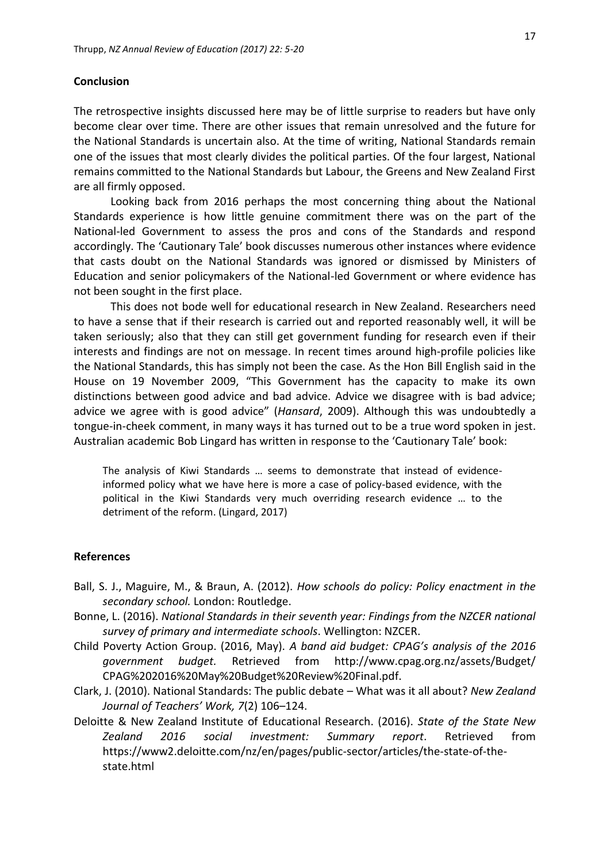## **Conclusion**

The retrospective insights discussed here may be of little surprise to readers but have only become clear over time. There are other issues that remain unresolved and the future for the National Standards is uncertain also. At the time of writing, National Standards remain one of the issues that most clearly divides the political parties. Of the four largest, National remains committed to the National Standards but Labour, the Greens and New Zealand First are all firmly opposed.

Looking back from 2016 perhaps the most concerning thing about the National Standards experience is how little genuine commitment there was on the part of the National-led Government to assess the pros and cons of the Standards and respond accordingly. The 'Cautionary Tale' book discusses numerous other instances where evidence that casts doubt on the National Standards was ignored or dismissed by Ministers of Education and senior policymakers of the National-led Government or where evidence has not been sought in the first place.

This does not bode well for educational research in New Zealand. Researchers need to have a sense that if their research is carried out and reported reasonably well, it will be taken seriously; also that they can still get government funding for research even if their interests and findings are not on message. In recent times around high-profile policies like the National Standards, this has simply not been the case. As the Hon Bill English said in the House on 19 November 2009, "This Government has the capacity to make its own distinctions between good advice and bad advice. Advice we disagree with is bad advice; advice we agree with is good advice" (*Hansard*, 2009). Although this was undoubtedly a tongue-in-cheek comment, in many ways it has turned out to be a true word spoken in jest. Australian academic Bob Lingard has written in response to the 'Cautionary Tale' book:

The analysis of Kiwi Standards … seems to demonstrate that instead of evidenceinformed policy what we have here is more a case of policy-based evidence, with the political in the Kiwi Standards very much overriding research evidence … to the detriment of the reform. (Lingard, 2017)

## **References**

- Ball, S. J., Maguire, M., & Braun, A. (2012). *How schools do policy: Policy enactment in the secondary school.* London: Routledge.
- Bonne, L. (2016). *National Standards in their seventh year: Findings from the NZCER national survey of primary and intermediate schools*. Wellington: NZCER.
- Child Poverty Action Group. (2016, May). *A band aid budget: CPAG's analysis of the 2016 government budget.* Retrieved from http://www.cpag.org.nz/assets/Budget/ CPAG%202016%20May%20Budget%20Review%20Final.pdf.
- Clark, J. (2010). National Standards: The public debate What was it all about? *New Zealand Journal of Teachers' Work, 7*(2) 106–124.
- Deloitte & New Zealand Institute of Educational Research. (2016). *State of the State New Zealand 2016 social investment: Summary report*. Retrieved from https://www2.deloitte.com/nz/en/pages/public-sector/articles/the-state-of-thestate.html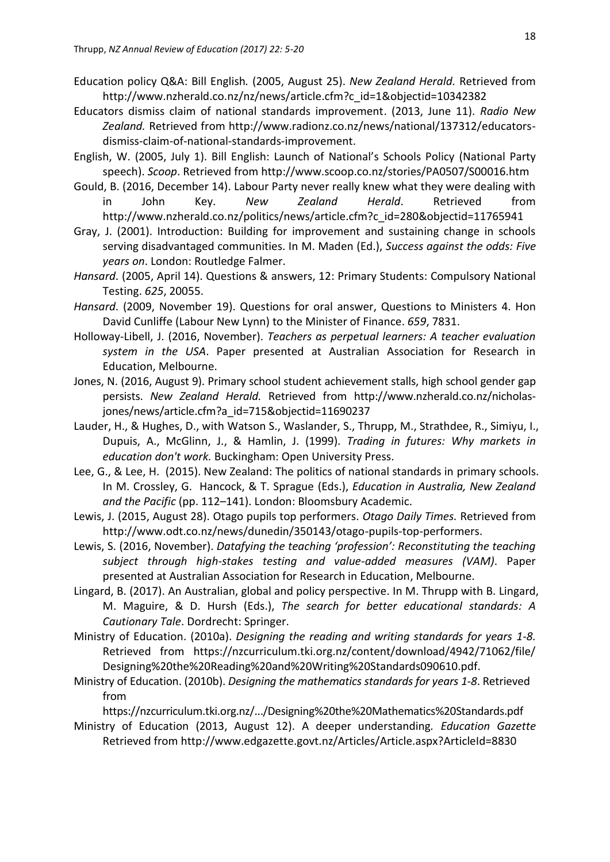- Education policy Q&A: Bill English*.* (2005, August 25). *New Zealand Herald.* Retrieved from http://www.nzherald.co.nz/nz/news/article.cfm?c\_id=1&objectid=10342382
- Educators dismiss claim of national standards improvement. (2013, June 11). *Radio New Zealand.* Retrieved from http://www.radionz.co.nz/news/national/137312/educatorsdismiss-claim-of-national-standards-improvement.
- English, W. (2005, July 1). Bill English: Launch of National's Schools Policy (National Party speech). *Scoop*. Retrieved from http://www.scoop.co.nz/stories/PA0507/S00016.htm
- Gould, B. (2016, December 14). Labour Party never really knew what they were dealing with in John Key. *New Zealand Herald*. Retrieved from http://www.nzherald.co.nz/politics/news/article.cfm?c\_id=280&objectid=11765941
- Gray, J. (2001). Introduction: Building for improvement and sustaining change in schools serving disadvantaged communities. In M. Maden (Ed.), *Success against the odds: Five years on*. London: Routledge Falmer.
- *Hansard*. (2005, April 14). Questions & answers, 12: Primary Students: Compulsory National Testing. *625*, 20055.
- *Hansard*. (2009, November 19). Questions for oral answer, Questions to Ministers 4. Hon David Cunliffe (Labour New Lynn) to the Minister of Finance. *659*, 7831.
- Holloway-Libell, J. (2016, November). *Teachers as perpetual learners: A teacher evaluation system in the USA*. Paper presented at Australian Association for Research in Education, Melbourne.
- Jones, N. (2016, August 9). Primary school student achievement stalls, high school gender gap persists. *New Zealand Herald.* Retrieved from http://www.nzherald.co.nz/nicholasjones/news/article.cfm?a\_id=715&objectid=11690237
- Lauder, H., & Hughes, D., with Watson S., Waslander, S., Thrupp, M., Strathdee, R., Simiyu, I., Dupuis, A., McGlinn, J., & Hamlin, J. (1999). *Trading in futures: Why markets in education don't work.* Buckingham: Open University Press.
- Lee, G., & Lee, H. (2015). New Zealand: The politics of national standards in primary schools. In M. Crossley, G. Hancock, & T. Sprague (Eds.), *Education in Australia, New Zealand and the Pacific* (pp. 112–141). London: Bloomsbury Academic.
- Lewis, J. (2015, August 28). Otago pupils top performers. *Otago Daily Times.* Retrieved from [http://www.odt.co.nz/news/dunedin/350143/otago-pupils-top-performers.](http://www.odt.co.nz/news/dunedin/350143/otago-pupils-top-performers)
- Lewis, S. (2016, November). *Datafying the teaching 'profession': Reconstituting the teaching subject through high-stakes testing and value-added measures (VAM)*. Paper presented at Australian Association for Research in Education, Melbourne.
- Lingard, B. (2017). An Australian, global and policy perspective. In M. Thrupp with B. Lingard, M. Maguire, & D. Hursh (Eds.), *The search for better educational standards: A Cautionary Tale*. Dordrecht: Springer.
- Ministry of Education. (2010a). *Designing the reading and writing standards for years 1‐8.* Retrieved from https://nzcurriculum.tki.org.nz/content/download/4942/71062/file/ Designing%20the%20Reading%20and%20Writing%20Standards090610.pdf.
- Ministry of Education. (2010b). *Designing the mathematics standards for years 1‐8*. Retrieved from

<https://nzcurriculum.tki.org.nz/.../Designing%20the%20Mathematics%20Standards.pdf>

Ministry of Education (2013, August 12). A deeper understanding*. Education Gazette*  Retrieved from http://www.edgazette.govt.nz/Articles/Article.aspx?ArticleId=8830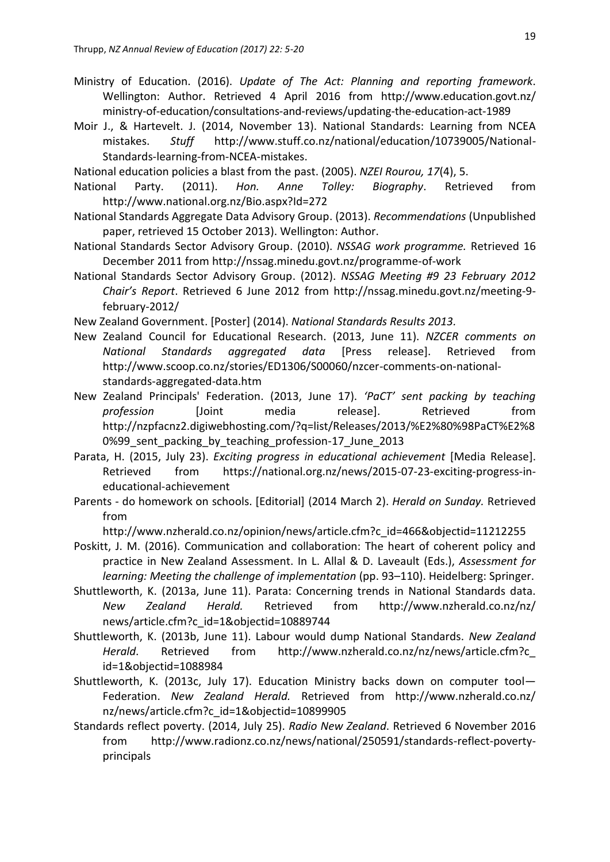- Ministry of Education. (2016). *Update of The Act: Planning and reporting framework*. Wellington: Author. Retrieved 4 April 2016 from http://www.education.govt.nz/ ministry-of-education/consultations-and-reviews/updating-the-education-act-1989
- Moir J., & Hartevelt. J. (2014, November 13). National Standards: Learning from NCEA mistakes. *Stuff* [http://www.stuff.co.nz/national/education/10739005/National-](http://www.stuff.co.nz/national/education/10739005/National-Standards-learning-from-NCEA-mistakes)[Standards-learning-from-NCEA-mistakes.](http://www.stuff.co.nz/national/education/10739005/National-Standards-learning-from-NCEA-mistakes)
- National education policies a blast from the past. (2005). *NZEI Rourou, 17*(4), 5.
- National Party. (2011). *Hon. Anne Tolley: Biography*. Retrieved from http://www.national.org.nz/Bio.aspx?Id=272
- National Standards Aggregate Data Advisory Group. (2013). *Recommendations* (Unpublished paper, retrieved 15 October 2013). Wellington: Author.
- National Standards Sector Advisory Group. (2010). *NSSAG work programme.* Retrieved 16 December 2011 from<http://nssag.minedu.govt.nz/programme-of-work>
- National Standards Sector Advisory Group. (2012). *NSSAG Meeting #9 23 February 2012 Chair's Report*. Retrieved 6 June 2012 from http://nssag.minedu.govt.nz/meeting-9 february-2012/
- New Zealand Government. [Poster] (2014). *National Standards Results 2013.*
- New Zealand Council for Educational Research. (2013, June 11). *NZCER comments on National Standards aggregated data* [Press release]. Retrieved from http://www.scoop.co.nz/stories/ED1306/S00060/nzcer-comments-on-nationalstandards-aggregated-data.htm
- New Zealand Principals' Federation. (2013, June 17). *'PaCT' sent packing by teaching profession* [Joint media release]. Retrieved from http://nzpfacnz2.digiwebhosting.com/?q=list/Releases/2013/%E2%80%98PaCT%E2%8 0%99\_sent\_packing\_by\_teaching\_profession-17\_June\_2013
- Parata, H. (2015, July 23). *Exciting progress in educational achievement* [Media Release]. Retrieved from https://national.org.nz/news/2015-07-23-exciting-progress-ineducational-achievement
- Parents do homework on schools. [Editorial] (2014 March 2). *Herald on Sunday.* Retrieved from

http://www.nzherald.co.nz/opinion/news/article.cfm?c\_id=466&objectid=11212255

- Poskitt, J. M. (2016). Communication and collaboration: The heart of coherent policy and practice in New Zealand Assessment. In L. Allal & D. Laveault (Eds.), *Assessment for learning: Meeting the challenge of implementation* (pp. 93–110). Heidelberg: Springer.
- Shuttleworth, K. (2013a, June 11). Parata: Concerning trends in National Standards data. *New Zealand Herald.* Retrieved from http://www.nzherald.co.nz/nz/ news/article.cfm?c\_id=1&objectid=10889744
- Shuttleworth, K. (2013b, June 11). Labour would dump National Standards. *New Zealand Herald*. Retrieved from http://www.nzherald.co.nz/nz/news/article.cfm?c\_ id=1&objectid=1088984
- Shuttleworth, K. (2013c, July 17). Education Ministry backs down on computer tool— Federation. *New Zealand Herald.* Retrieved from http://www.nzherald.co.nz/ nz/news/article.cfm?c\_id=1&objectid=10899905
- Standards reflect poverty. (2014, July 25). *Radio New Zealand*. Retrieved 6 November 2016 from [http://www.radionz.co.nz/news/national/250591/standards-reflect-poverty](http://www.radionz.co.nz/news/national/250591/standards-reflect-poverty-principals)[principals](http://www.radionz.co.nz/news/national/250591/standards-reflect-poverty-principals)